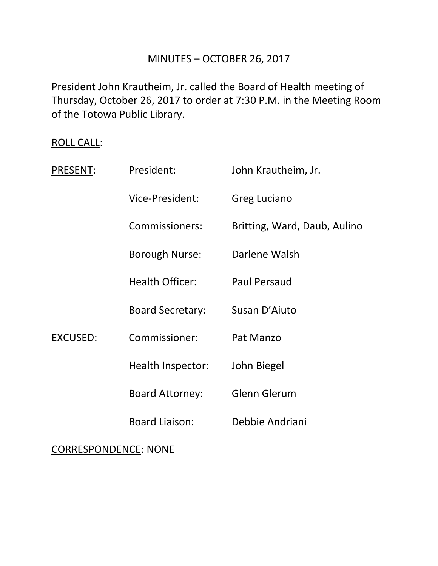# MINUTES – OCTOBER 26, 2017

President John Krautheim, Jr. called the Board of Health meeting of Thursday, October 26, 2017 to order at 7:30 P.M. in the Meeting Room of the Totowa Public Library.

# ROLL CALL:

| PRESENT:                    | President:              | John Krautheim, Jr.          |
|-----------------------------|-------------------------|------------------------------|
|                             | Vice-President:         | <b>Greg Luciano</b>          |
|                             | Commissioners:          | Britting, Ward, Daub, Aulino |
|                             | <b>Borough Nurse:</b>   | Darlene Walsh                |
| <b>EXCUSED:</b>             | <b>Health Officer:</b>  | <b>Paul Persaud</b>          |
|                             | <b>Board Secretary:</b> | Susan D'Aiuto                |
|                             | Commissioner:           | Pat Manzo                    |
|                             | Health Inspector:       | John Biegel                  |
|                             | <b>Board Attorney:</b>  | <b>Glenn Glerum</b>          |
|                             | <b>Board Liaison:</b>   | Debbie Andriani              |
| <b>CORRESPONDENCE: NONE</b> |                         |                              |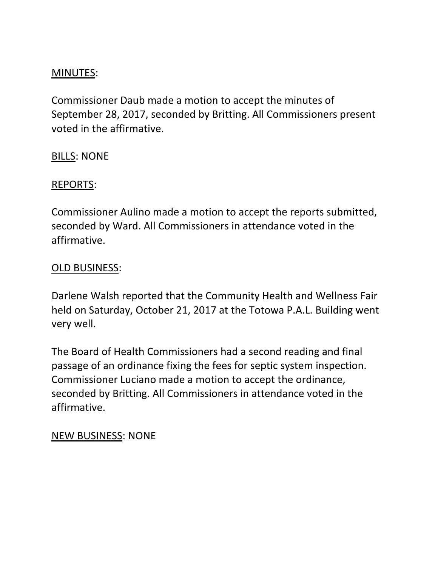# MINUTES:

Commissioner Daub made a motion to accept the minutes of September 28, 2017, seconded by Britting. All Commissioners present voted in the affirmative.

# BILLS: NONE

#### REPORTS:

Commissioner Aulino made a motion to accept the reports submitted, seconded by Ward. All Commissioners in attendance voted in the affirmative.

#### OLD BUSINESS:

Darlene Walsh reported that the Community Health and Wellness Fair held on Saturday, October 21, 2017 at the Totowa P.A.L. Building went very well.

The Board of Health Commissioners had a second reading and final passage of an ordinance fixing the fees for septic system inspection. Commissioner Luciano made a motion to accept the ordinance, seconded by Britting. All Commissioners in attendance voted in the affirmative.

#### NEW BUSINESS: NONE